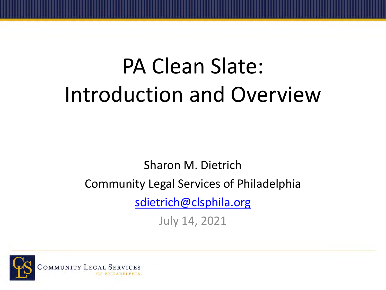## PA Clean Slate: Introduction and Overview

Sharon M. Dietrich Community Legal Services of Philadelphia [sdietrich@clsphila.org](mailto:sdietrich@clsphila.org)

July 14, 2021

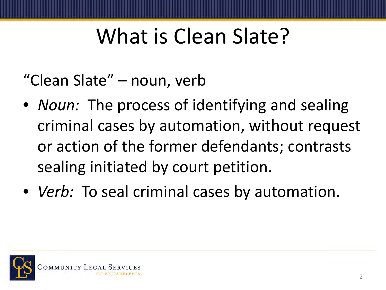#### What is Clean Slate?

"Clean Slate" – noun, verb

- *Noun:* The process of identifying and sealing criminal cases by automation, without request or action of the former defendants; contrasts sealing initiated by court petition.
- *Verb:* To seal criminal cases by automation.

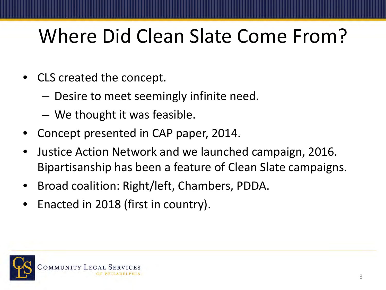#### Where Did Clean Slate Come From?

- CLS created the concept.
	- Desire to meet seemingly infinite need.
	- We thought it was feasible.
- Concept presented in CAP paper, 2014.
- Justice Action Network and we launched campaign, 2016. Bipartisanship has been a feature of Clean Slate campaigns.
- Broad coalition: Right/left, Chambers, PDDA.
- Enacted in 2018 (first in country).

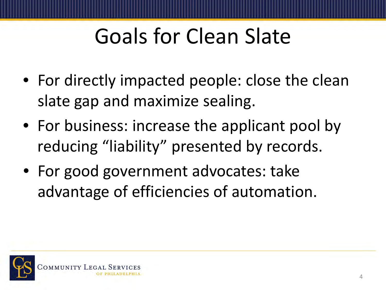## Goals for Clean Slate

- For directly impacted people: close the clean slate gap and maximize sealing.
- For business: increase the applicant pool by reducing "liability" presented by records.
- For good government advocates: take advantage of efficiencies of automation.

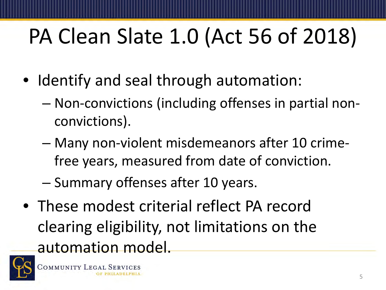# PA Clean Slate 1.0 (Act 56 of 2018)

- Identify and seal through automation:
	- Non-convictions (including offenses in partial nonconvictions).
	- Many non-violent misdemeanors after 10 crimefree years, measured from date of conviction.
	- Summary offenses after 10 years.
- These modest criterial reflect PA record clearing eligibility, not limitations on the automation model.

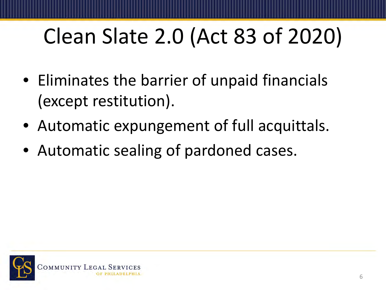# Clean Slate 2.0 (Act 83 of 2020)

- Eliminates the barrier of unpaid financials (except restitution).
- Automatic expungement of full acquittals.
- Automatic sealing of pardoned cases.

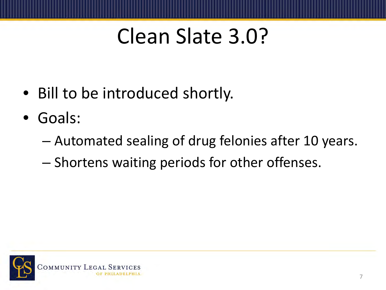#### Clean Slate 3.0?

- Bill to be introduced shortly.
- Goals:
	- Automated sealing of drug felonies after 10 years.
	- Shortens waiting periods for other offenses.

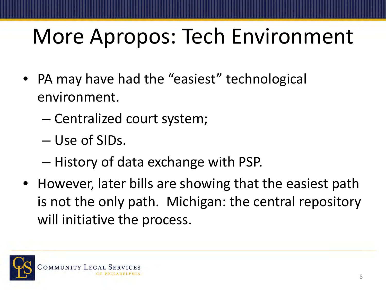## More Apropos: Tech Environment

- PA may have had the "easiest" technological environment.
	- Centralized court system;
	- Use of SIDs.
	- History of data exchange with PSP.
- However, later bills are showing that the easiest path is not the only path. Michigan: the central repository will initiative the process.

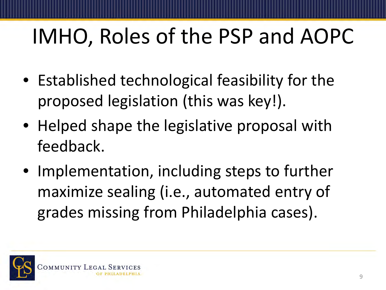## IMHO, Roles of the PSP and AOPC

- Established technological feasibility for the proposed legislation (this was key!).
- Helped shape the legislative proposal with feedback.
- Implementation, including steps to further maximize sealing (i.e., automated entry of grades missing from Philadelphia cases).

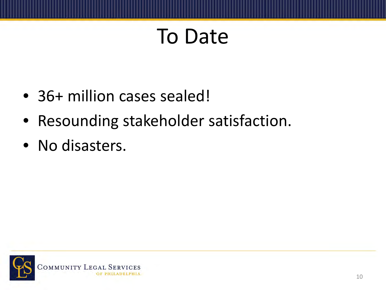#### To Date

- 36+ million cases sealed!
- Resounding stakeholder satisfaction.
- No disasters.